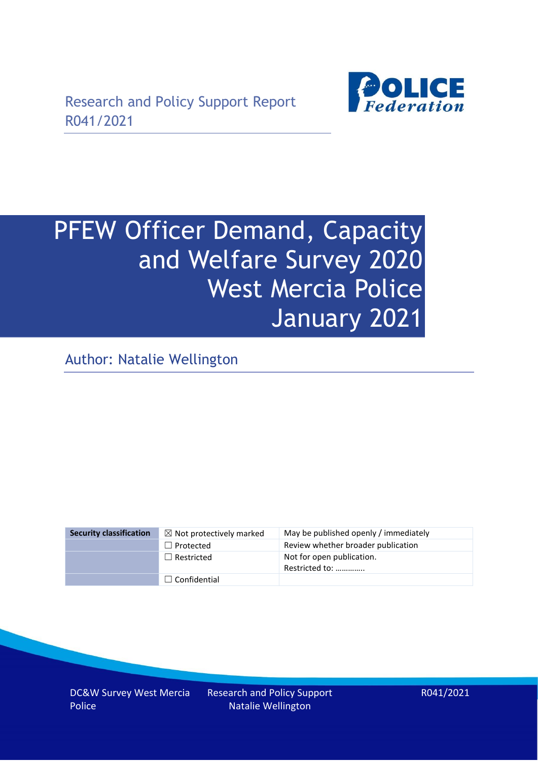

# PFEW Officer Demand, Capacity and Welfare Survey 2020 West Mercia Police January 2021

Author: Natalie Wellington

| <b>Security classification</b> | $\boxtimes$ Not protectively marked | May be published openly / immediately       |
|--------------------------------|-------------------------------------|---------------------------------------------|
|                                | $\Box$ Protected                    | Review whether broader publication          |
|                                | $\Box$ Restricted                   | Not for open publication.<br>Restricted to: |
|                                | $\Box$ Confidential                 |                                             |

DC&W Survey West Mercia Police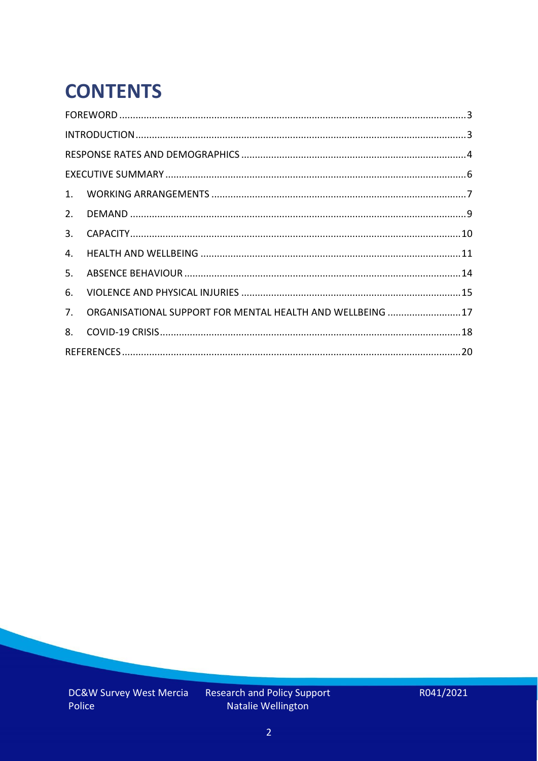# **CONTENTS**

| 2.          |                                                            |  |
|-------------|------------------------------------------------------------|--|
| 3.          |                                                            |  |
| 4.          |                                                            |  |
| 5.          |                                                            |  |
| 6.          |                                                            |  |
| $7_{\cdot}$ | ORGANISATIONAL SUPPORT FOR MENTAL HEALTH AND WELLBEING  17 |  |
| 8.          |                                                            |  |
|             |                                                            |  |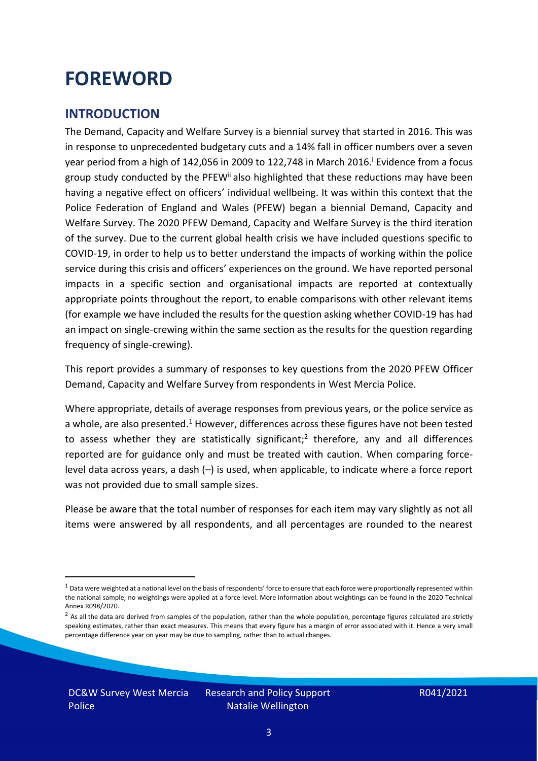### <span id="page-2-0"></span>**FOREWORD**

### <span id="page-2-1"></span>**INTRODUCTION**

The Demand, Capacity and Welfare Survey is a biennial survey that started in 2016. This was in response to unprecedented budgetary cuts and a 14% fall in officer numbers over a seven year period from a high of 142,056 in 2009 to 122,748 in March 2016. <sup>i</sup> Evidence from a focus group study conducted by the PFEW<sup>ii</sup> also highlighted that these reductions may have been having a negative effect on officers' individual wellbeing. It was within this context that the Police Federation of England and Wales (PFEW) began a biennial Demand, Capacity and Welfare Survey. The 2020 PFEW Demand, Capacity and Welfare Survey is the third iteration of the survey. Due to the current global health crisis we have included questions specific to COVID-19, in order to help us to better understand the impacts of working within the police service during this crisis and officers' experiences on the ground. We have reported personal impacts in a specific section and organisational impacts are reported at contextually appropriate points throughout the report, to enable comparisons with other relevant items (for example we have included the results for the question asking whether COVID-19 has had an impact on single-crewing within the same section as the results for the question regarding frequency of single-crewing).

This report provides a summary of responses to key questions from the 2020 PFEW Officer Demand, Capacity and Welfare Survey from respondents in West Mercia Police.

Where appropriate, details of average responses from previous years, or the police service as a whole, are also presented.<sup>1</sup> However, differences across these figures have not been tested to assess whether they are statistically significant;<sup>2</sup> therefore, any and all differences reported are for guidance only and must be treated with caution. When comparing forcelevel data across years, a dash (–) is used, when applicable, to indicate where a force report was not provided due to small sample sizes.

Please be aware that the total number of responses for each item may vary slightly as not all items were answered by all respondents, and all percentages are rounded to the nearest

 $1$  Data were weighted at a national level on the basis of respondents' force to ensure that each force were proportionally represented within the national sample; no weightings were applied at a force level. More information about weightings can be found in the 2020 Technical Annex R098/2020.

 $2$  As all the data are derived from samples of the population, rather than the whole population, percentage figures calculated are strictly speaking estimates, rather than exact measures. This means that every figure has a margin of error associated with it. Hence a very small percentage difference year on year may be due to sampling, rather than to actual changes.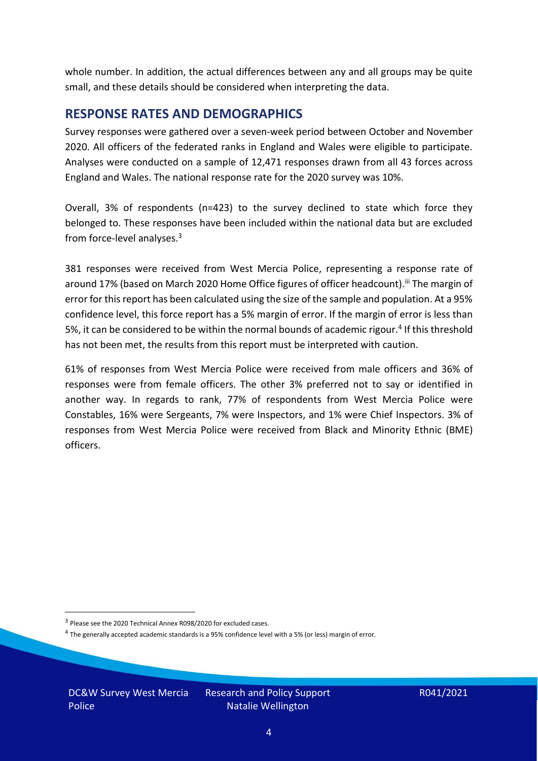whole number. In addition, the actual differences between any and all groups may be quite small, and these details should be considered when interpreting the data.

#### <span id="page-3-0"></span>**RESPONSE RATES AND DEMOGRAPHICS**

Survey responses were gathered over a seven-week period between October and November 2020. All officers of the federated ranks in England and Wales were eligible to participate. Analyses were conducted on a sample of 12,471 responses drawn from all 43 forces across England and Wales. The national response rate for the 2020 survey was 10%.

Overall, 3% of respondents (n=423) to the survey declined to state which force they belonged to. These responses have been included within the national data but are excluded from force-level analyses.<sup>3</sup>

381 responses were received from West Mercia Police, representing a response rate of around 17% (based on March 2020 Home Office figures of officer headcount).<sup>iii</sup> The margin of error for this report has been calculated using the size of the sample and population. At a 95% confidence level, this force report has a 5% margin of error. If the margin of error is less than 5%, it can be considered to be within the normal bounds of academic rigour.<sup>4</sup> If this threshold has not been met, the results from this report must be interpreted with caution.

61% of responses from West Mercia Police were received from male officers and 36% of responses were from female officers. The other 3% preferred not to say or identified in another way. In regards to rank, 77% of respondents from West Mercia Police were Constables, 16% were Sergeants, 7% were Inspectors, and 1% were Chief Inspectors. 3% of responses from West Mercia Police were received from Black and Minority Ethnic (BME) officers.

<sup>&</sup>lt;sup>3</sup> Please see the 2020 Technical Annex R098/2020 for excluded cases.

<sup>&</sup>lt;sup>4</sup> The generally accepted academic standards is a 95% confidence level with a 5% (or less) margin of error.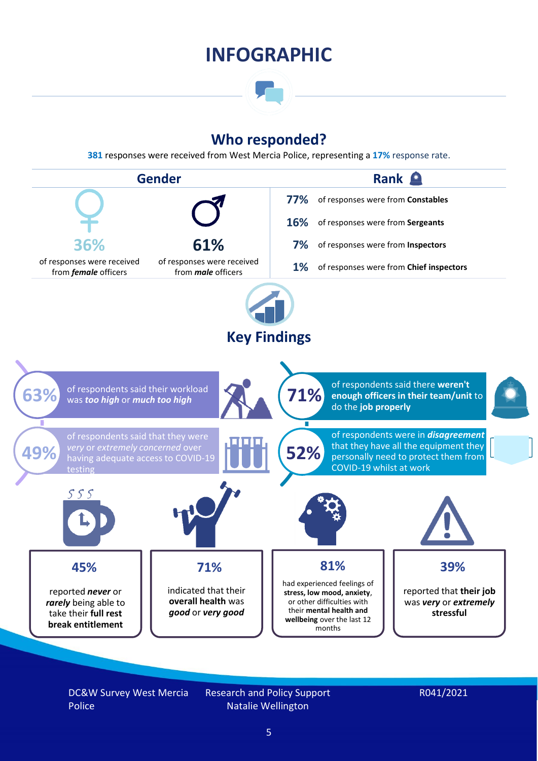### **INFOGRAPHIC**

### **Who responded?**

**381** responses were received from West Mercia Police, representing a **17%** response rate.



DC&W Survey West Mercia Police

Research and Policy Support Natalie Wellington

#### R041/2021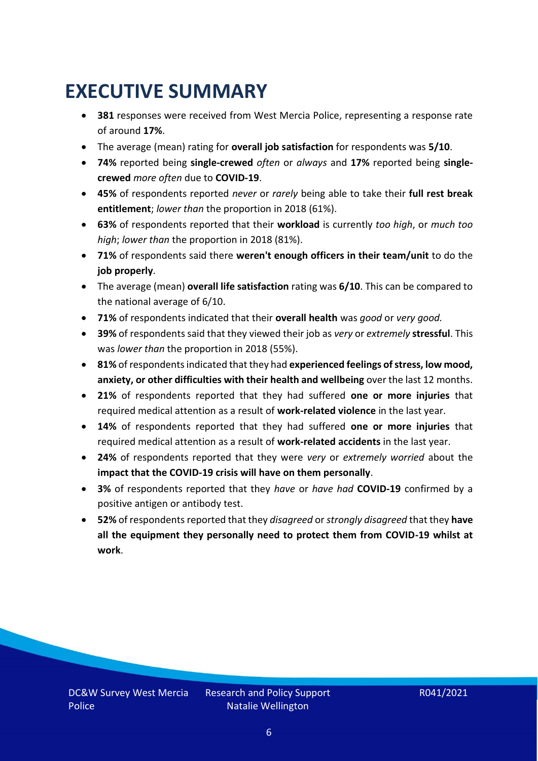### <span id="page-5-0"></span>**EXECUTIVE SUMMARY**

- **381** responses were received from West Mercia Police, representing a response rate of around **17%**.
- The average (mean) rating for **overall job satisfaction** for respondents was **5/10**.
- **74%** reported being **single-crewed** *often* or *always* and **17%** reported being **singlecrewed** *more often* due to **COVID-19**.
- **45%** of respondents reported *never* or *rarely* being able to take their **full rest break entitlement**; *lower than* the proportion in 2018 (61%).
- **63%** of respondents reported that their **workload** is currently *too high*, or *much too high*; *lower than* the proportion in 2018 (81%).
- **71%** of respondents said there **weren't enough officers in their team/unit** to do the **job properly**.
- The average (mean) **overall life satisfaction** rating was **6/10**. This can be compared to the national average of 6/10.
- **71%** of respondents indicated that their **overall health** was *good* or *very good.*
- **39%** of respondents said that they viewed their job as *very* or *extremely* **stressful**. This was *lower than* the proportion in 2018 (55%).
- **81%** of respondents indicated that they had **experienced feelings of stress, low mood, anxiety, or other difficulties with their health and wellbeing** over the last 12 months.
- **21%** of respondents reported that they had suffered **one or more injuries** that required medical attention as a result of **work-related violence** in the last year.
- **14%** of respondents reported that they had suffered **one or more injuries** that required medical attention as a result of **work-related accidents** in the last year.
- **24%** of respondents reported that they were *very* or *extremely worried* about the **impact that the COVID-19 crisis will have on them personally**.
- **3%** of respondents reported that they *have* or *have had* **COVID-19** confirmed by a positive antigen or antibody test.
- **52%** of respondents reported that they *disagreed* or *strongly disagreed* that they **have all the equipment they personally need to protect them from COVID-19 whilst at work**.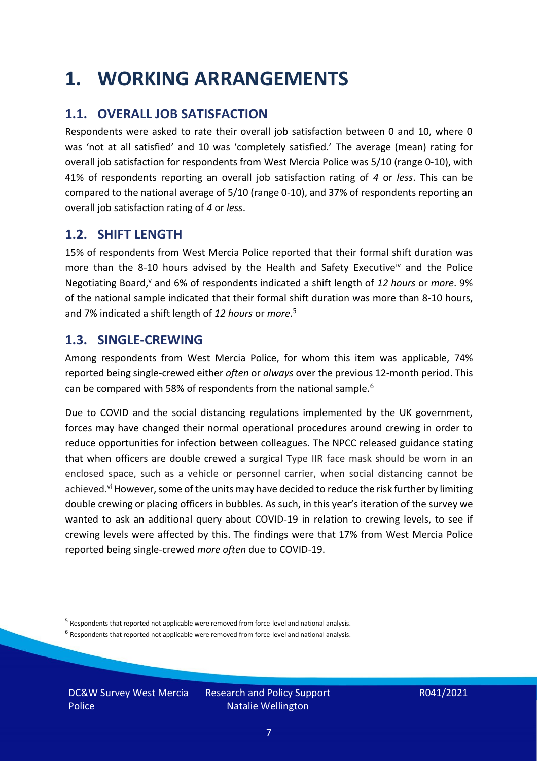### <span id="page-6-0"></span>**1. WORKING ARRANGEMENTS**

### **1.1. OVERALL JOB SATISFACTION**

Respondents were asked to rate their overall job satisfaction between 0 and 10, where 0 was 'not at all satisfied' and 10 was 'completely satisfied.' The average (mean) rating for overall job satisfaction for respondents from West Mercia Police was 5/10 (range 0-10), with 41% of respondents reporting an overall job satisfaction rating of *4* or *less*. This can be compared to the national average of 5/10 (range 0-10), and 37% of respondents reporting an overall job satisfaction rating of *4* or *less*.

### **1.2. SHIFT LENGTH**

15% of respondents from West Mercia Police reported that their formal shift duration was more than the 8-10 hours advised by the Health and Safety Executive<sup>iv</sup> and the Police Negotiating Board,<sup>v</sup> and 6% of respondents indicated a shift length of 12 hours or *more*. 9% of the national sample indicated that their formal shift duration was more than 8-10 hours, and 7% indicated a shift length of *12 hours* or *more*. 5

#### **1.3. SINGLE-CREWING**

Among respondents from West Mercia Police, for whom this item was applicable, 74% reported being single-crewed either *often* or *always* over the previous 12-month period. This can be compared with 58% of respondents from the national sample.<sup>6</sup>

Due to COVID and the social distancing regulations implemented by the UK government, forces may have changed their normal operational procedures around crewing in order to reduce opportunities for infection between colleagues. The NPCC released guidance stating that when officers are double crewed a surgical Type IIR face mask should be worn in an enclosed space, such as a vehicle or personnel carrier, when social distancing cannot be achieved.<sup>vi</sup> However, some of the units may have decided to reduce the risk further by limiting double crewing or placing officers in bubbles. As such, in this year's iteration of the survey we wanted to ask an additional query about COVID-19 in relation to crewing levels, to see if crewing levels were affected by this. The findings were that 17% from West Mercia Police reported being single-crewed *more often* due to COVID-19.

DC&W Survey West Mercia Police

<sup>&</sup>lt;sup>5</sup> Respondents that reported not applicable were removed from force-level and national analysis.

 $<sup>6</sup>$  Respondents that reported not applicable were removed from force-level and national analysis.</sup>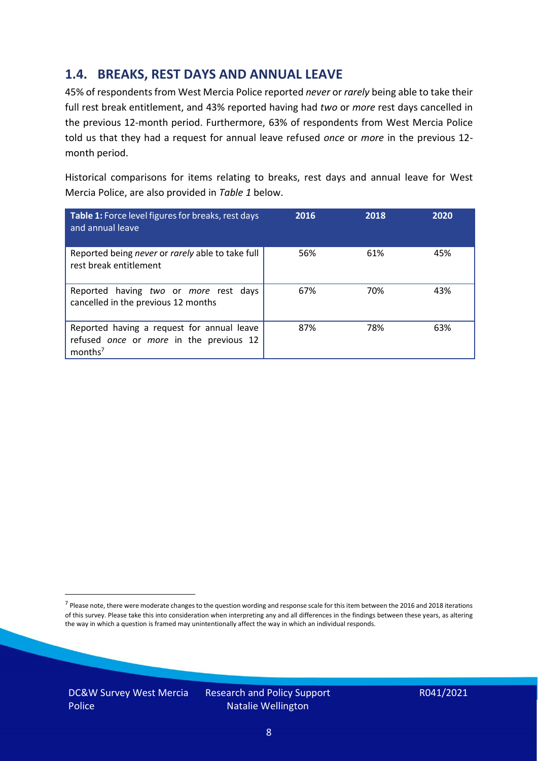### **1.4. BREAKS, REST DAYS AND ANNUAL LEAVE**

45% of respondents from West Mercia Police reported *never* or *rarely* being able to take their full rest break entitlement, and 43% reported having had *two* or *more* rest days cancelled in the previous 12-month period. Furthermore, 63% of respondents from West Mercia Police told us that they had a request for annual leave refused *once* or *more* in the previous 12 month period.

Historical comparisons for items relating to breaks, rest days and annual leave for West Mercia Police, are also provided in *Table 1* below.

| Table 1: Force level figures for breaks, rest days<br>and annual leave                                       | 2016 | 2018 | 2020 |
|--------------------------------------------------------------------------------------------------------------|------|------|------|
| Reported being never or rarely able to take full<br>rest break entitlement                                   | 56%  | 61%  | 45%  |
| Reported having two or more rest days<br>cancelled in the previous 12 months                                 | 67%  | 70%  | 43%  |
| Reported having a request for annual leave<br>refused once or more in the previous 12<br>months <sup>7</sup> | 87%  | 78%  | 63%  |

DC&W Survey West Mercia Police

<sup>&</sup>lt;sup>7</sup> Please note, there were moderate changes to the question wording and response scale for this item between the 2016 and 2018 iterations of this survey. Please take this into consideration when interpreting any and all differences in the findings between these years, as altering the way in which a question is framed may unintentionally affect the way in which an individual responds.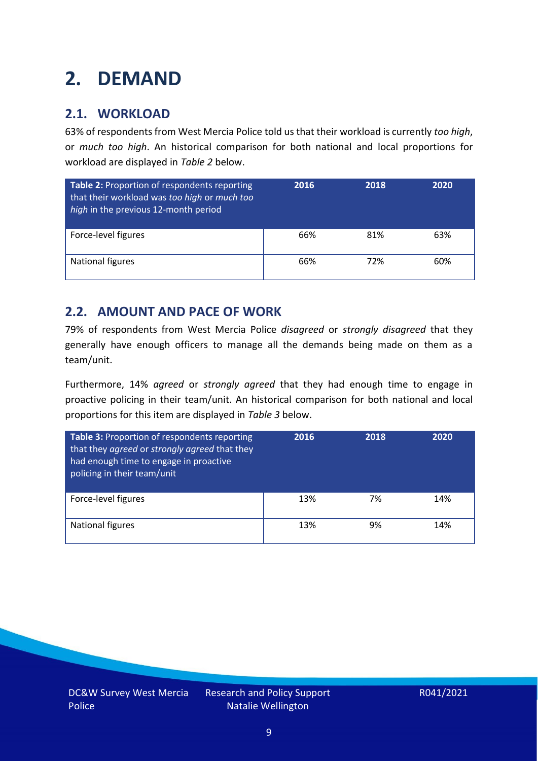### <span id="page-8-0"></span>**2. DEMAND**

### **2.1. WORKLOAD**

63% of respondents from West Mercia Police told us that their workload is currently *too high*, or *much too high*. An historical comparison for both national and local proportions for workload are displayed in *Table 2* below.

| Table 2: Proportion of respondents reporting<br>that their workload was too high or much too<br>high in the previous 12-month period | 2016 | 2018 | 2020 |
|--------------------------------------------------------------------------------------------------------------------------------------|------|------|------|
| Force-level figures                                                                                                                  | 66%  | 81%  | 63%  |
| National figures                                                                                                                     | 66%  | 72%  | 60%  |

### **2.2. AMOUNT AND PACE OF WORK**

79% of respondents from West Mercia Police *disagreed* or *strongly disagreed* that they generally have enough officers to manage all the demands being made on them as a team/unit.

Furthermore, 14% *agreed* or *strongly agreed* that they had enough time to engage in proactive policing in their team/unit. An historical comparison for both national and local proportions for this item are displayed in *Table 3* below.

| Table 3: Proportion of respondents reporting<br>that they agreed or strongly agreed that they<br>had enough time to engage in proactive<br>policing in their team/unit | 2016 | 2018 | 2020 |
|------------------------------------------------------------------------------------------------------------------------------------------------------------------------|------|------|------|
| Force-level figures                                                                                                                                                    | 13%  | 7%   | 14%  |
| National figures                                                                                                                                                       | 13%  | 9%   | 14%  |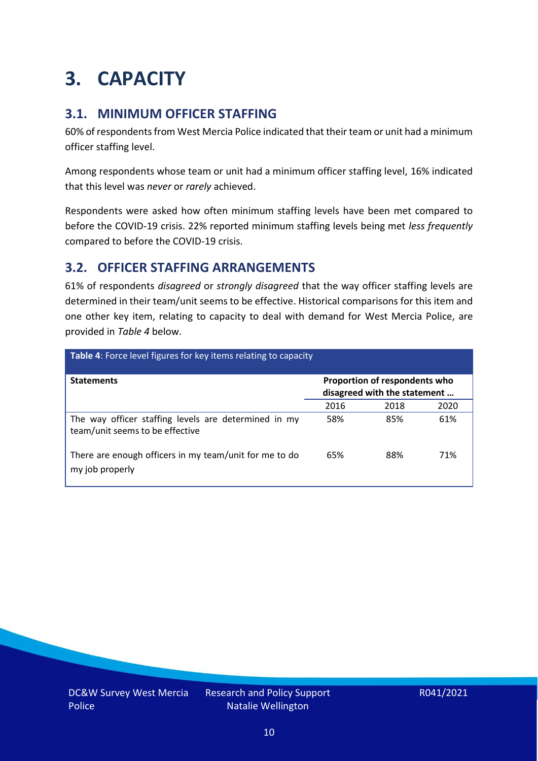### <span id="page-9-0"></span>**3. CAPACITY**

### **3.1. MINIMUM OFFICER STAFFING**

60% of respondents from West Mercia Police indicated that their team or unit had a minimum officer staffing level.

Among respondents whose team or unit had a minimum officer staffing level, 16% indicated that this level was *never* or *rarely* achieved.

Respondents were asked how often minimum staffing levels have been met compared to before the COVID-19 crisis. 22% reported minimum staffing levels being met *less frequently* compared to before the COVID-19 crisis.

### **3.2. OFFICER STAFFING ARRANGEMENTS**

61% of respondents *disagreed* or *strongly disagreed* that the way officer staffing levels are determined in their team/unit seems to be effective. Historical comparisons for this item and one other key item, relating to capacity to deal with demand for West Mercia Police, are provided in *Table 4* below.

| Table 4: Force level figures for key items relating to capacity                         |                                                               |      |      |
|-----------------------------------------------------------------------------------------|---------------------------------------------------------------|------|------|
| <b>Statements</b>                                                                       | Proportion of respondents who<br>disagreed with the statement |      |      |
|                                                                                         | 2016                                                          | 2018 | 2020 |
| The way officer staffing levels are determined in my<br>team/unit seems to be effective | 58%                                                           | 85%  | 61%  |
| There are enough officers in my team/unit for me to do<br>my job properly               | 65%                                                           | 88%  | 71%  |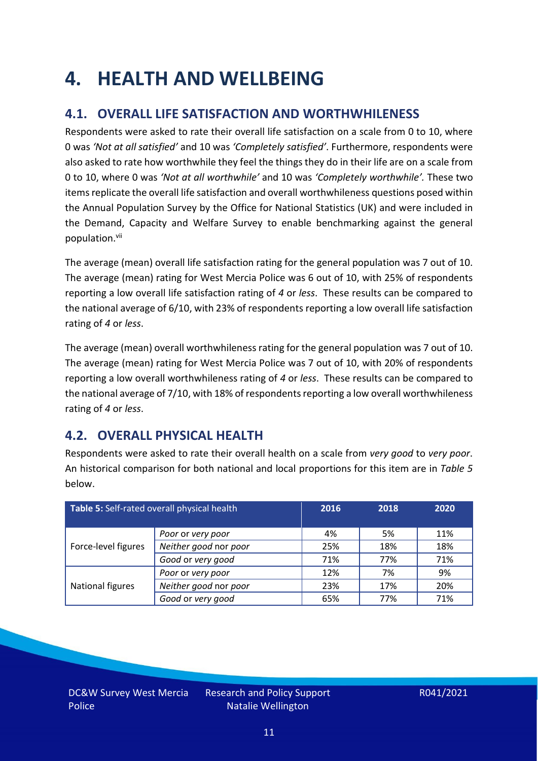### <span id="page-10-0"></span>**4. HEALTH AND WELLBEING**

### **4.1. OVERALL LIFE SATISFACTION AND WORTHWHILENESS**

Respondents were asked to rate their overall life satisfaction on a scale from 0 to 10, where 0 was *'Not at all satisfied'* and 10 was *'Completely satisfied'*. Furthermore, respondents were also asked to rate how worthwhile they feel the things they do in their life are on a scale from 0 to 10, where 0 was *'Not at all worthwhile'* and 10 was *'Completely worthwhile'.* These two items replicate the overall life satisfaction and overall worthwhileness questions posed within the Annual Population Survey by the Office for National Statistics (UK) and were included in the Demand, Capacity and Welfare Survey to enable benchmarking against the general population. vii

The average (mean) overall life satisfaction rating for the general population was 7 out of 10. The average (mean) rating for West Mercia Police was 6 out of 10, with 25% of respondents reporting a low overall life satisfaction rating of *4* or *less*. These results can be compared to the national average of 6/10, with 23% of respondents reporting a low overall life satisfaction rating of *4* or *less*.

The average (mean) overall worthwhileness rating for the general population was 7 out of 10. The average (mean) rating for West Mercia Police was 7 out of 10, with 20% of respondents reporting a low overall worthwhileness rating of *4* or *less*. These results can be compared to the national average of 7/10, with 18% of respondents reporting a low overall worthwhileness rating of *4* or *less*.

### **4.2. OVERALL PHYSICAL HEALTH**

Respondents were asked to rate their overall health on a scale from *very good* to *very poor*. An historical comparison for both national and local proportions for this item are in *Table 5* below.

| Table 5: Self-rated overall physical health |                       | 2016 | 2018 | 2020 |
|---------------------------------------------|-----------------------|------|------|------|
|                                             | Poor or very poor     | 4%   | 5%   | 11%  |
| Force-level figures                         | Neither good nor poor | 25%  | 18%  | 18%  |
|                                             | Good or very good     | 71%  | 77%  | 71%  |
|                                             | Poor or very poor     | 12%  | 7%   | 9%   |
| National figures                            | Neither good nor poor | 23%  | 17%  | 20%  |
|                                             | Good or very good     | 65%  | 77%  | 71%  |

DC&W Survey West Mercia Police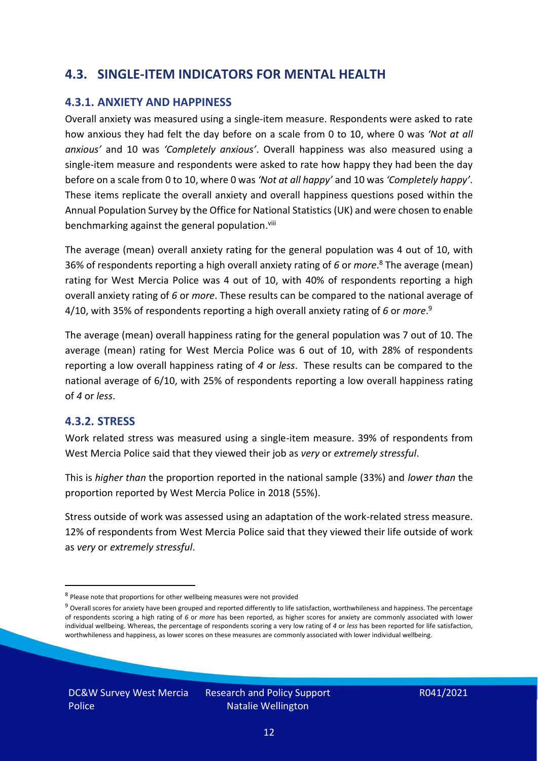### **4.3. SINGLE-ITEM INDICATORS FOR MENTAL HEALTH**

#### **4.3.1. ANXIETY AND HAPPINESS**

Overall anxiety was measured using a single-item measure. Respondents were asked to rate how anxious they had felt the day before on a scale from 0 to 10, where 0 was *'Not at all anxious'* and 10 was *'Completely anxious'*. Overall happiness was also measured using a single-item measure and respondents were asked to rate how happy they had been the day before on a scale from 0 to 10, where 0 was *'Not at all happy'* and 10 was *'Completely happy'*. These items replicate the overall anxiety and overall happiness questions posed within the Annual Population Survey by the Office for National Statistics (UK) and were chosen to enable benchmarking against the general population.<sup>viii</sup>

The average (mean) overall anxiety rating for the general population was 4 out of 10, with 36% of respondents reporting a high overall anxiety rating of *6* or *more*. <sup>8</sup> The average (mean) rating for West Mercia Police was 4 out of 10, with 40% of respondents reporting a high overall anxiety rating of *6* or *more*. These results can be compared to the national average of 4/10, with 35% of respondents reporting a high overall anxiety rating of *6* or *more*. 9

The average (mean) overall happiness rating for the general population was 7 out of 10. The average (mean) rating for West Mercia Police was 6 out of 10, with 28% of respondents reporting a low overall happiness rating of *4* or *less*. These results can be compared to the national average of 6/10, with 25% of respondents reporting a low overall happiness rating of *4* or *less*.

#### **4.3.2. STRESS**

Work related stress was measured using a single-item measure. 39% of respondents from West Mercia Police said that they viewed their job as *very* or *extremely stressful*.

This is *higher than* the proportion reported in the national sample (33%) and *lower than* the proportion reported by West Mercia Police in 2018 (55%).

Stress outside of work was assessed using an adaptation of the work-related stress measure. 12% of respondents from West Mercia Police said that they viewed their life outside of work as *very* or *extremely stressful*.

<sup>&</sup>lt;sup>8</sup> Please note that proportions for other wellbeing measures were not provided

 $9$  Overall scores for anxiety have been grouped and reported differently to life satisfaction, worthwhileness and happiness. The percentage of respondents scoring a high rating of *6* or *more* has been reported, as higher scores for anxiety are commonly associated with lower individual wellbeing. Whereas, the percentage of respondents scoring a very low rating of *4* or *less* has been reported for life satisfaction, worthwhileness and happiness, as lower scores on these measures are commonly associated with lower individual wellbeing.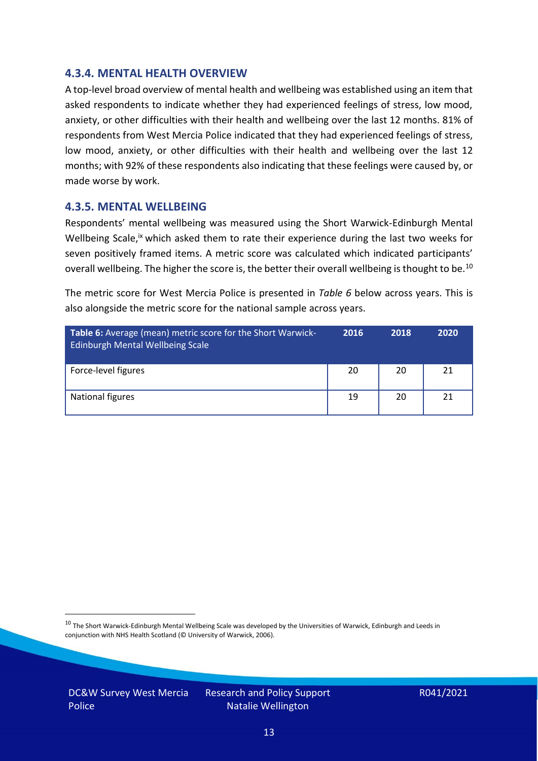#### **4.3.4. MENTAL HEALTH OVERVIEW**

A top-level broad overview of mental health and wellbeing was established using an item that asked respondents to indicate whether they had experienced feelings of stress, low mood, anxiety, or other difficulties with their health and wellbeing over the last 12 months. 81% of respondents from West Mercia Police indicated that they had experienced feelings of stress, low mood, anxiety, or other difficulties with their health and wellbeing over the last 12 months; with 92% of these respondents also indicating that these feelings were caused by, or made worse by work.

#### **4.3.5. MENTAL WELLBEING**

Respondents' mental wellbeing was measured using the Short Warwick-Edinburgh Mental Wellbeing Scale,<sup>ix</sup> which asked them to rate their experience during the last two weeks for seven positively framed items. A metric score was calculated which indicated participants' overall wellbeing. The higher the score is, the better their overall wellbeing is thought to be.<sup>10</sup>

The metric score for West Mercia Police is presented in *Table 6* below across years. This is also alongside the metric score for the national sample across years.

| <b>Table 6:</b> Average (mean) metric score for the Short Warwick-<br>Edinburgh Mental Wellbeing Scale | 2016 | 2018 | 2020 |
|--------------------------------------------------------------------------------------------------------|------|------|------|
| Force-level figures                                                                                    | 20   | 20   | 21   |
| National figures                                                                                       | 19   | 20   | 21   |

 $10$  The Short Warwick-Edinburgh Mental Wellbeing Scale was developed by the Universities of Warwick, Edinburgh and Leeds in conjunction with NHS Health Scotland (© University of Warwick, 2006).

DC&W Survey West Mercia Police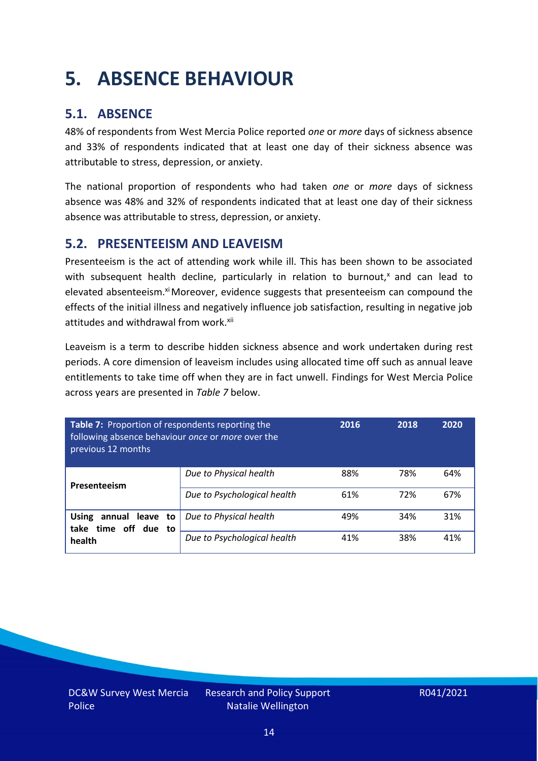### <span id="page-13-0"></span>**5. ABSENCE BEHAVIOUR**

### **5.1. ABSENCE**

48% of respondents from West Mercia Police reported *one* or *more* days of sickness absence and 33% of respondents indicated that at least one day of their sickness absence was attributable to stress, depression, or anxiety.

The national proportion of respondents who had taken *one* or *more* days of sickness absence was 48% and 32% of respondents indicated that at least one day of their sickness absence was attributable to stress, depression, or anxiety.

#### **5.2. PRESENTEEISM AND LEAVEISM**

Presenteeism is the act of attending work while ill. This has been shown to be associated with subsequent health decline, particularly in relation to burnout, $x$  and can lead to elevated absenteeism.<sup>xi</sup> Moreover, evidence suggests that presenteeism can compound the effects of the initial illness and negatively influence job satisfaction, resulting in negative job attitudes and withdrawal from work.<sup>xii</sup>

Leaveism is a term to describe hidden sickness absence and work undertaken during rest periods. A core dimension of leaveism includes using allocated time off such as annual leave entitlements to take time off when they are in fact unwell. Findings for West Mercia Police across years are presented in *Table 7* below.

| Table 7: Proportion of respondents reporting the<br>following absence behaviour once or more over the<br>previous 12 months |                             | 2016 | 2018 | 2020 |
|-----------------------------------------------------------------------------------------------------------------------------|-----------------------------|------|------|------|
| Presenteeism                                                                                                                | Due to Physical health      | 88%  | 78%  | 64%  |
|                                                                                                                             | Due to Psychological health | 61%  | 72%  | 67%  |
| annual leave to<br><b>Using</b><br>time off due to<br>take<br>health                                                        | Due to Physical health      | 49%  | 34%  | 31%  |
|                                                                                                                             | Due to Psychological health | 41%  | 38%  | 41%  |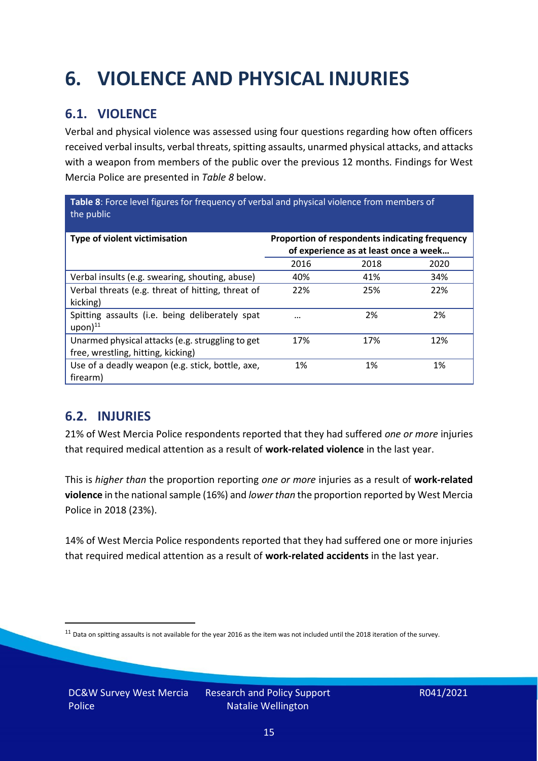## <span id="page-14-0"></span>**6. VIOLENCE AND PHYSICAL INJURIES**

### **6.1. VIOLENCE**

Verbal and physical violence was assessed using four questions regarding how often officers received verbal insults, verbal threats, spitting assaults, unarmed physical attacks, and attacks with a weapon from members of the public over the previous 12 months. Findings for West Mercia Police are presented in *Table 8* below.

**Table 8**: Force level figures for frequency of verbal and physical violence from members of the public

| Type of violent victimisation                                                          | Proportion of respondents indicating frequency<br>of experience as at least once a week |      |      |
|----------------------------------------------------------------------------------------|-----------------------------------------------------------------------------------------|------|------|
|                                                                                        | 2016                                                                                    | 2018 | 2020 |
| Verbal insults (e.g. swearing, shouting, abuse)                                        | 40%                                                                                     | 41%  | 34%  |
| Verbal threats (e.g. threat of hitting, threat of<br>kicking)                          | 22%                                                                                     | 25%  | 22%  |
| Spitting assaults (i.e. being deliberately spat<br>$upon)$ <sup>11</sup>               |                                                                                         | 2%   | 2%   |
| Unarmed physical attacks (e.g. struggling to get<br>free, wrestling, hitting, kicking) | 17%                                                                                     | 17%  | 12%  |
| Use of a deadly weapon (e.g. stick, bottle, axe,<br>firearm)                           | 1%                                                                                      | 1%   | 1%   |

### **6.2. INJURIES**

21% of West Mercia Police respondents reported that they had suffered *one or more* injuries that required medical attention as a result of **work-related violence** in the last year.

This is *higher than* the proportion reporting *one or more* injuries as a result of **work-related violence** in the national sample (16%) and *lower than* the proportion reported by West Mercia Police in 2018 (23%).

14% of West Mercia Police respondents reported that they had suffered one or more injuries that required medical attention as a result of **work-related accidents** in the last year.

 $11$  Data on spitting assaults is not available for the year 2016 as the item was not included until the 2018 iteration of the survey.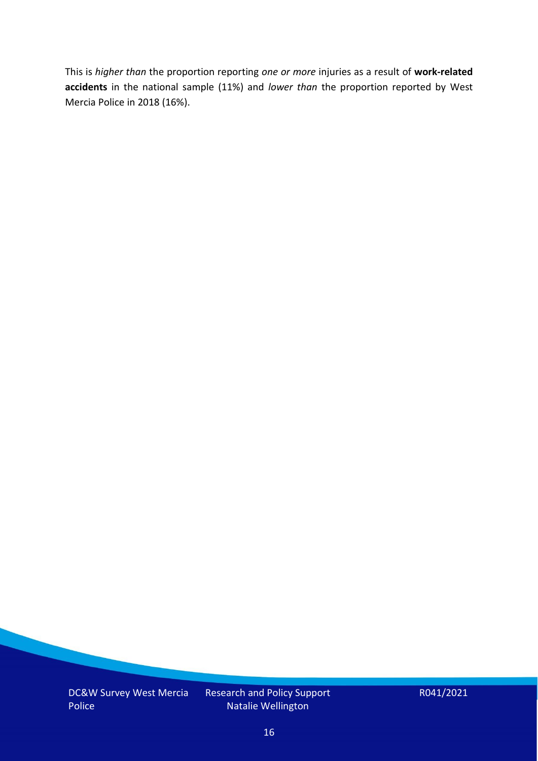This is *higher than* the proportion reporting *one or more* injuries as a result of **work-related accidents** in the national sample (11%) and *lower than* the proportion reported by West Mercia Police in 2018 (16%).

DC&W Survey West Mercia Police

Research and Policy Support Natalie Wellington

R041/2021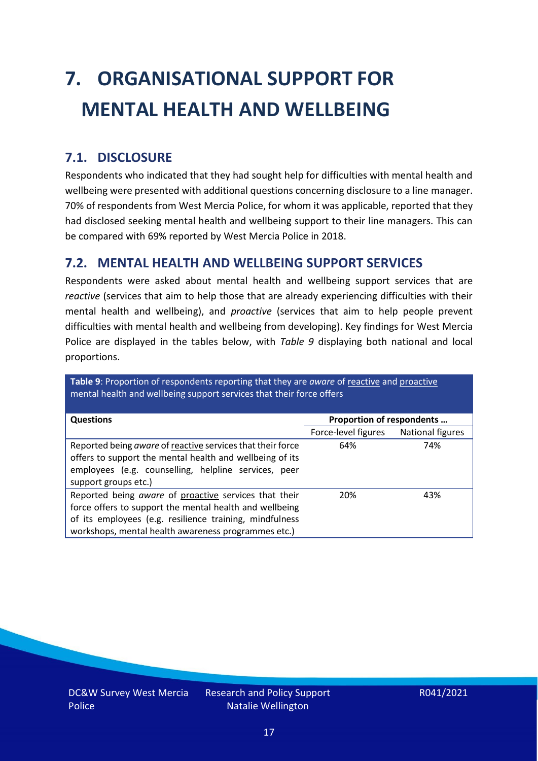# <span id="page-16-0"></span>**7. ORGANISATIONAL SUPPORT FOR MENTAL HEALTH AND WELLBEING**

### **7.1. DISCLOSURE**

Respondents who indicated that they had sought help for difficulties with mental health and wellbeing were presented with additional questions concerning disclosure to a line manager. 70% of respondents from West Mercia Police, for whom it was applicable, reported that they had disclosed seeking mental health and wellbeing support to their line managers. This can be compared with 69% reported by West Mercia Police in 2018.

#### **7.2. MENTAL HEALTH AND WELLBEING SUPPORT SERVICES**

Respondents were asked about mental health and wellbeing support services that are *reactive* (services that aim to help those that are already experiencing difficulties with their mental health and wellbeing), and *proactive* (services that aim to help people prevent difficulties with mental health and wellbeing from developing). Key findings for West Mercia Police are displayed in the tables below, with *Table 9* displaying both national and local proportions.

**Table 9**: Proportion of respondents reporting that they are *aware* of reactive and proactive mental health and wellbeing support services that their force offers

| <b>Questions</b>                                                                                                                                                                                                                   | Proportion of respondents |                  |
|------------------------------------------------------------------------------------------------------------------------------------------------------------------------------------------------------------------------------------|---------------------------|------------------|
|                                                                                                                                                                                                                                    | Force-level figures       | National figures |
| Reported being aware of reactive services that their force<br>offers to support the mental health and wellbeing of its<br>employees (e.g. counselling, helpline services, peer<br>support groups etc.)                             | 64%                       | 74%              |
| Reported being aware of proactive services that their<br>force offers to support the mental health and wellbeing<br>of its employees (e.g. resilience training, mindfulness<br>workshops, mental health awareness programmes etc.) | 20%                       | 43%              |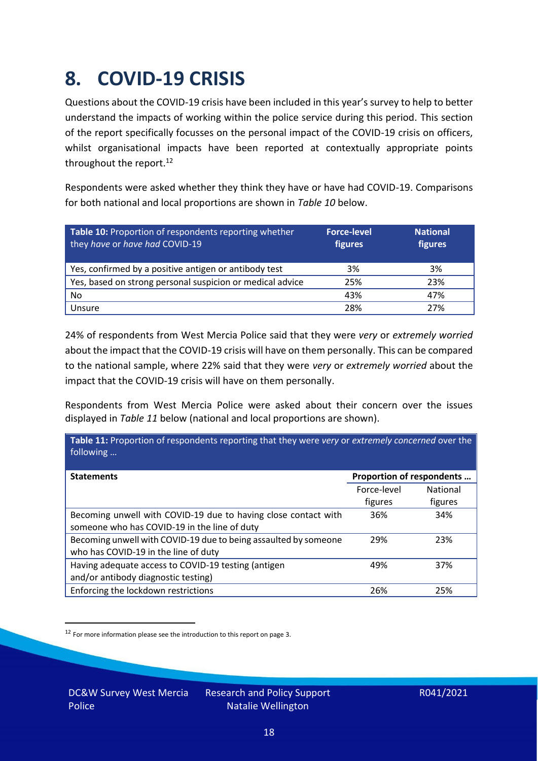### <span id="page-17-0"></span>**8. COVID-19 CRISIS**

Questions about the COVID-19 crisis have been included in this year's survey to help to better understand the impacts of working within the police service during this period. This section of the report specifically focusses on the personal impact of the COVID-19 crisis on officers, whilst organisational impacts have been reported at contextually appropriate points throughout the report.<sup>12</sup>

Respondents were asked whether they think they have or have had COVID-19. Comparisons for both national and local proportions are shown in *Table 10* below.

| Table 10: Proportion of respondents reporting whether<br>they have or have had COVID-19 | <b>Force-level</b><br>figures | <b>National</b><br>figures |
|-----------------------------------------------------------------------------------------|-------------------------------|----------------------------|
| Yes, confirmed by a positive antigen or antibody test                                   | 3%                            | 3%                         |
| Yes, based on strong personal suspicion or medical advice                               | 25%                           | 23%                        |
| No                                                                                      | 43%                           | 47%                        |
| Unsure                                                                                  | 28%                           | 27%                        |

24% of respondents from West Mercia Police said that they were *very* or *extremely worried* about the impact that the COVID-19 crisis will have on them personally. This can be compared to the national sample, where 22% said that they were *very* or *extremely worried* about the impact that the COVID-19 crisis will have on them personally.

Respondents from West Mercia Police were asked about their concern over the issues displayed in *Table 11* below (national and local proportions are shown).

| Table 11: Proportion of respondents reporting that they were very or extremely concerned over the<br>following |                           |                 |
|----------------------------------------------------------------------------------------------------------------|---------------------------|-----------------|
| <b>Statements</b>                                                                                              | Proportion of respondents |                 |
|                                                                                                                | Force-level               | <b>National</b> |
|                                                                                                                | figures                   | figures         |
| Becoming unwell with COVID-19 due to having close contact with                                                 | 36%                       | 34%             |
| someone who has COVID-19 in the line of duty                                                                   |                           |                 |
| Becoming unwell with COVID-19 due to being assaulted by someone                                                | 29%                       | 23%             |
| who has COVID-19 in the line of duty                                                                           |                           |                 |
| Having adequate access to COVID-19 testing (antigen                                                            | 49%                       | 37%             |
| and/or antibody diagnostic testing)                                                                            |                           |                 |
| Enforcing the lockdown restrictions                                                                            | 26%                       | 25%             |

<sup>12</sup> For more information please see the introduction to this report on page 3.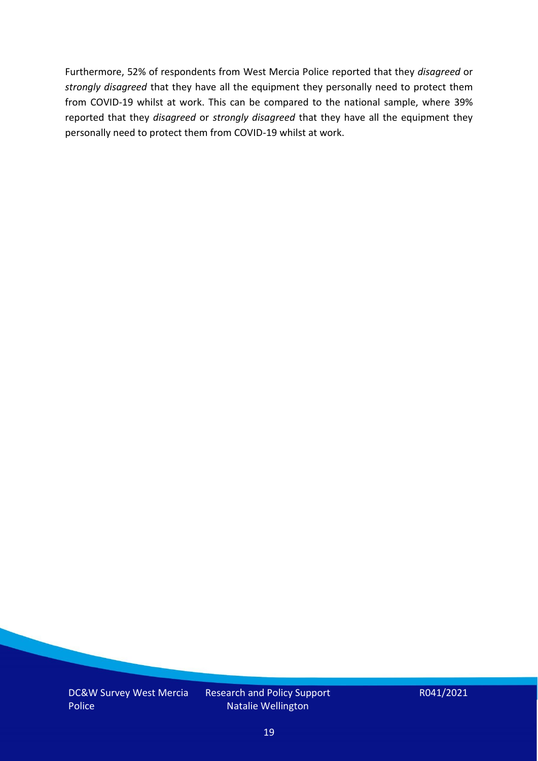Furthermore, 52% of respondents from West Mercia Police reported that they *disagreed* or *strongly disagreed* that they have all the equipment they personally need to protect them from COVID-19 whilst at work. This can be compared to the national sample, where 39% reported that they *disagreed* or *strongly disagreed* that they have all the equipment they personally need to protect them from COVID-19 whilst at work.

DC&W Survey West Mercia Police

Research and Policy Support Natalie Wellington

R041/2021